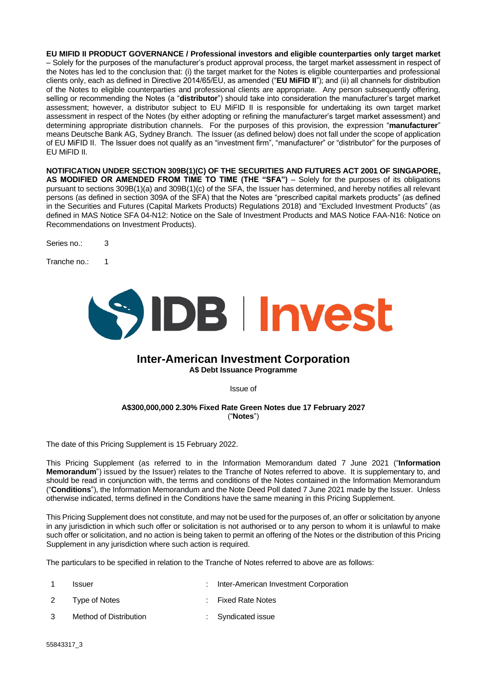**EU MIFID II PRODUCT GOVERNANCE / Professional investors and eligible counterparties only target market** – Solely for the purposes of the manufacturer's product approval process, the target market assessment in respect of the Notes has led to the conclusion that: (i) the target market for the Notes is eligible counterparties and professional clients only, each as defined in Directive 2014/65/EU, as amended ("**EU MiFID II**"); and (ii) all channels for distribution of the Notes to eligible counterparties and professional clients are appropriate. Any person subsequently offering, selling or recommending the Notes (a "**distributor**") should take into consideration the manufacturer's target market assessment; however, a distributor subject to EU MiFID II is responsible for undertaking its own target market assessment in respect of the Notes (by either adopting or refining the manufacturer's target market assessment) and determining appropriate distribution channels. For the purposes of this provision, the expression "**manufacturer**" means Deutsche Bank AG, Sydney Branch. The Issuer (as defined below) does not fall under the scope of application of EU MiFID II. The Issuer does not qualify as an "investment firm", "manufacturer" or "distributor" for the purposes of EU MiFID II.

**NOTIFICATION UNDER SECTION 309B(1)(C) OF THE SECURITIES AND FUTURES ACT 2001 OF SINGAPORE,**  AS MODIFIED OR AMENDED FROM TIME TO TIME (THE "SFA") - Solely for the purposes of its obligations pursuant to sections 309B(1)(a) and 309B(1)(c) of the SFA, the Issuer has determined, and hereby notifies all relevant persons (as defined in section 309A of the SFA) that the Notes are "prescribed capital markets products" (as defined in the Securities and Futures (Capital Markets Products) Regulations 2018) and "Excluded Investment Products" (as defined in MAS Notice SFA 04-N12: Notice on the Sale of Investment Products and MAS Notice FAA-N16: Notice on Recommendations on Investment Products).

Series no.: 3

Tranche no.: 1



## **Inter-American Investment Corporation A\$ Debt Issuance Programme**

Issue of

## **A\$300,000,000 2.30% Fixed Rate Green Notes due 17 February 2027** ("**Notes**")

The date of this Pricing Supplement is 15 February 2022.

This Pricing Supplement (as referred to in the Information Memorandum dated 7 June 2021 ("**Information Memorandum**") issued by the Issuer) relates to the Tranche of Notes referred to above. It is supplementary to, and should be read in conjunction with, the terms and conditions of the Notes contained in the Information Memorandum ("**Conditions**"), the Information Memorandum and the Note Deed Poll dated 7 June 2021 made by the Issuer. Unless otherwise indicated, terms defined in the Conditions have the same meaning in this Pricing Supplement.

This Pricing Supplement does not constitute, and may not be used for the purposes of, an offer or solicitation by anyone in any jurisdiction in which such offer or solicitation is not authorised or to any person to whom it is unlawful to make such offer or solicitation, and no action is being taken to permit an offering of the Notes or the distribution of this Pricing Supplement in any jurisdiction where such action is required.

The particulars to be specified in relation to the Tranche of Notes referred to above are as follows:

|    | <b>Issuer</b>          | : Inter-American Investment Corporation |
|----|------------------------|-----------------------------------------|
|    | 2 Type of Notes        | : Fixed Rate Notes                      |
| ્વ | Method of Distribution | : Syndicated issue                      |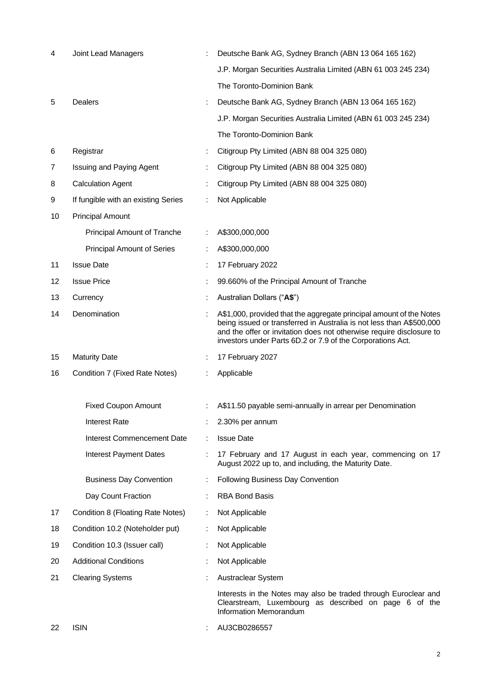| 4  | <b>Joint Lead Managers</b>          |   | Deutsche Bank AG, Sydney Branch (ABN 13 064 165 162)                                                                                                                                                                                                                              |
|----|-------------------------------------|---|-----------------------------------------------------------------------------------------------------------------------------------------------------------------------------------------------------------------------------------------------------------------------------------|
|    |                                     |   | J.P. Morgan Securities Australia Limited (ABN 61 003 245 234)                                                                                                                                                                                                                     |
|    |                                     |   | The Toronto-Dominion Bank                                                                                                                                                                                                                                                         |
| 5  | Dealers                             |   | Deutsche Bank AG, Sydney Branch (ABN 13 064 165 162)                                                                                                                                                                                                                              |
|    |                                     |   | J.P. Morgan Securities Australia Limited (ABN 61 003 245 234)                                                                                                                                                                                                                     |
|    |                                     |   | The Toronto-Dominion Bank                                                                                                                                                                                                                                                         |
| 6  | Registrar                           |   | Citigroup Pty Limited (ABN 88 004 325 080)                                                                                                                                                                                                                                        |
| 7  | <b>Issuing and Paying Agent</b>     |   | Citigroup Pty Limited (ABN 88 004 325 080)                                                                                                                                                                                                                                        |
| 8  | <b>Calculation Agent</b>            |   | Citigroup Pty Limited (ABN 88 004 325 080)                                                                                                                                                                                                                                        |
| 9  | If fungible with an existing Series |   | Not Applicable                                                                                                                                                                                                                                                                    |
| 10 | <b>Principal Amount</b>             |   |                                                                                                                                                                                                                                                                                   |
|    | Principal Amount of Tranche         |   | A\$300,000,000                                                                                                                                                                                                                                                                    |
|    | <b>Principal Amount of Series</b>   |   | A\$300,000,000                                                                                                                                                                                                                                                                    |
| 11 | <b>Issue Date</b>                   |   | 17 February 2022                                                                                                                                                                                                                                                                  |
| 12 | <b>Issue Price</b>                  |   | 99.660% of the Principal Amount of Tranche                                                                                                                                                                                                                                        |
| 13 | Currency                            |   | Australian Dollars ("A\$")                                                                                                                                                                                                                                                        |
| 14 | Denomination                        |   | A\$1,000, provided that the aggregate principal amount of the Notes<br>being issued or transferred in Australia is not less than A\$500,000<br>and the offer or invitation does not otherwise require disclosure to<br>investors under Parts 6D.2 or 7.9 of the Corporations Act. |
| 15 | <b>Maturity Date</b>                |   | 17 February 2027                                                                                                                                                                                                                                                                  |
| 16 | Condition 7 (Fixed Rate Notes)      |   | Applicable                                                                                                                                                                                                                                                                        |
|    | <b>Fixed Coupon Amount</b>          |   | A\$11.50 payable semi-annually in arrear per Denomination                                                                                                                                                                                                                         |
|    | <b>Interest Rate</b>                |   | 2.30% per annum                                                                                                                                                                                                                                                                   |
|    | <b>Interest Commencement Date</b>   |   | <b>Issue Date</b>                                                                                                                                                                                                                                                                 |
|    | <b>Interest Payment Dates</b>       |   | 17 February and 17 August in each year, commencing on 17<br>August 2022 up to, and including, the Maturity Date.                                                                                                                                                                  |
|    | <b>Business Day Convention</b>      |   | Following Business Day Convention                                                                                                                                                                                                                                                 |
|    | Day Count Fraction                  |   | <b>RBA Bond Basis</b>                                                                                                                                                                                                                                                             |
| 17 | Condition 8 (Floating Rate Notes)   |   | Not Applicable                                                                                                                                                                                                                                                                    |
| 18 | Condition 10.2 (Noteholder put)     | ÷ | Not Applicable                                                                                                                                                                                                                                                                    |
| 19 | Condition 10.3 (Issuer call)        |   | Not Applicable                                                                                                                                                                                                                                                                    |
| 20 | <b>Additional Conditions</b>        |   | Not Applicable                                                                                                                                                                                                                                                                    |
| 21 | <b>Clearing Systems</b>             |   | Austraclear System                                                                                                                                                                                                                                                                |
|    |                                     |   | Interests in the Notes may also be traded through Euroclear and<br>Clearstream, Luxembourg as described on page 6 of the<br>Information Memorandum                                                                                                                                |
| 22 | <b>ISIN</b>                         |   | AU3CB0286557                                                                                                                                                                                                                                                                      |